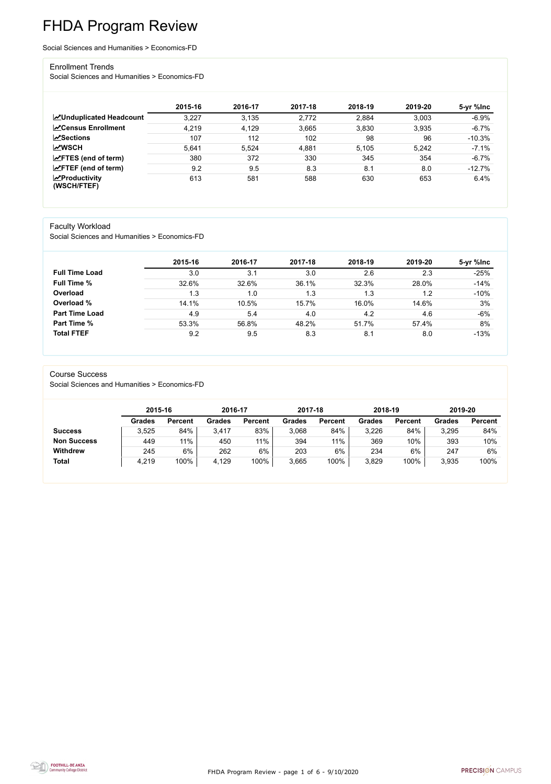FHDA Program Review - page 1 of 6 - 9/10/2020



# FHDA Program Review

Social Sciences and Humanities > Economics-FD

#### Enrollment Trends

Social Sciences and Humanities > Economics-FD

|                                          | 2015-16 | 2016-17 | 2017-18 | 2018-19 | 2019-20 | 5-yr %lnc |
|------------------------------------------|---------|---------|---------|---------|---------|-----------|
| <b>ZUnduplicated Headcount</b>           | 3,227   | 3.135   | 2,772   | 2,884   | 3,003   | $-6.9%$   |
| <b>∠</b> Census Enrollment               | 4,219   | 4,129   | 3,665   | 3,830   | 3,935   | $-6.7%$   |
| $\sqrt{S}$ ections                       | 107     | 112     | 102     | 98      | 96      | $-10.3%$  |
| <b>MWSCH</b>                             | 5,641   | 5,524   | 4,881   | 5.105   | 5,242   | $-7.1%$   |
| $\angle$ FTES (end of term)              | 380     | 372     | 330     | 345     | 354     | $-6.7%$   |
| $\mathsf{Z}$ FTEF (end of term)          | 9.2     | 9.5     | 8.3     | 8.1     | 8.0     | $-12.7%$  |
| $\mathbf{Z}$ Productivity<br>(WSCH/FTEF) | 613     | 581     | 588     | 630     | 653     | 6.4%      |

#### Faculty Workload

Social Sciences and Humanities > Economics-FD

|                       | 2015-16 | 2016-17 | 2017-18 | 2018-19 | 2019-20 | 5-yr %lnc |
|-----------------------|---------|---------|---------|---------|---------|-----------|
| <b>Full Time Load</b> | 3.0     | 3.1     | 3.0     | 2.6     | 2.3     | $-25%$    |
| <b>Full Time %</b>    | 32.6%   | 32.6%   | 36.1%   | 32.3%   | 28.0%   | $-14%$    |
| Overload              | 1.3     | 1.0     | 1.3     | 1.3     | 1.2     | $-10%$    |
| Overload %            | 14.1%   | 10.5%   | 15.7%   | 16.0%   | 14.6%   | 3%        |
| <b>Part Time Load</b> | 4.9     | 5.4     | 4.0     | 4.2     | 4.6     | $-6%$     |
| <b>Part Time %</b>    | 53.3%   | 56.8%   | 48.2%   | 51.7%   | 57.4%   | 8%        |
| <b>Total FTEF</b>     | 9.2     | 9.5     | 8.3     | 8.1     | 8.0     | $-13%$    |

#### Course Success

Social Sciences and Humanities > Economics-FD

|                    |               | 2015-16        |               | 2016-17        | 2017-18       |                | 2018-19 |                | 2019-20       |                |
|--------------------|---------------|----------------|---------------|----------------|---------------|----------------|---------|----------------|---------------|----------------|
|                    | <b>Grades</b> | <b>Percent</b> | <b>Grades</b> | <b>Percent</b> | <b>Grades</b> | <b>Percent</b> | Grades  | <b>Percent</b> | <b>Grades</b> | <b>Percent</b> |
| <b>Success</b>     | 3,525         | 84%            | 3,417         | 83%            | 3,068         | 84%            | 3,226   | 84%            | 3,295         | 84%            |
| <b>Non Success</b> | 449           | $11\%$         | 450           | 11%            | 394           | 11%            | 369     | 10%            | 393           | 10%            |
| <b>Withdrew</b>    | 245           | 6%             | 262           | 6%             | 203           | 6%             | 234     | 6%             | 247           | 6%             |
| <b>Total</b>       | 4,219         | 100%           | 4,129         | 100%           | 3,665         | 100%           | 3,829   | 100%           | 3,935         | 100%           |

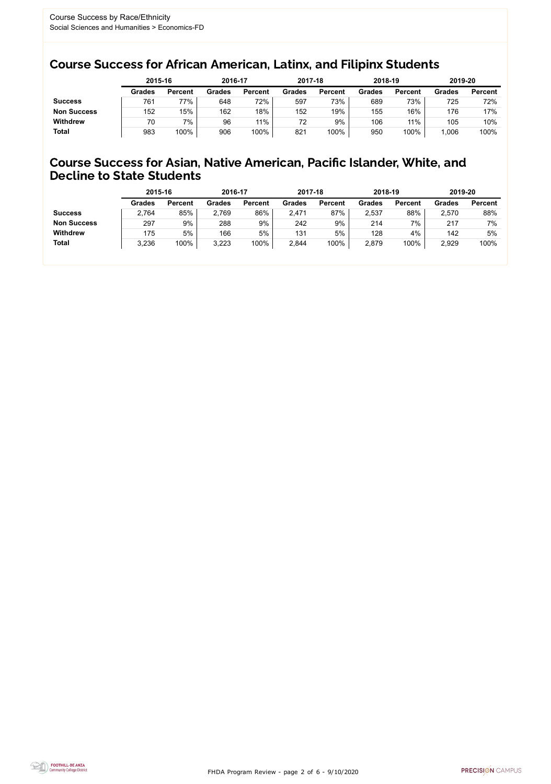FHDA Program Review - page 2 of 6 - 9/10/2020



### Course Success for African American, Latinx, and Filipinx Students

### Course Success for Asian, Native American, Pacific Islander, White, and Decline to State Students

|                    | 2015-16       |                | 2016-17       |                | 2017-18       |                | 2018-19       |                | 2019-20 |                |
|--------------------|---------------|----------------|---------------|----------------|---------------|----------------|---------------|----------------|---------|----------------|
|                    | <b>Grades</b> | <b>Percent</b> | <b>Grades</b> | <b>Percent</b> | <b>Grades</b> | <b>Percent</b> | <b>Grades</b> | <b>Percent</b> | Grades  | <b>Percent</b> |
| <b>Success</b>     | 761           | 77%            | 648           | 72%            | 597           | 73%            | 689           | 73%            | 725     | 72%            |
| <b>Non Success</b> | 152           | 15%            | 162           | 18%            | 152           | 19%            | 155           | 16%            | 176     | 17%            |
| <b>Withdrew</b>    | 70            | 7%             | 96            | 11%            | 72            | 9%             | 106           | 11%            | 105     | 10%            |
| <b>Total</b>       | 983           | 100%           | 906           | 100%           | 821           | 100%           | 950           | 100%           | 1,006   | 100%           |

|                    | 2015-16       |                | 2016-17       |                | 2017-18       |                | 2018-19       |                | 2019-20       |                |
|--------------------|---------------|----------------|---------------|----------------|---------------|----------------|---------------|----------------|---------------|----------------|
|                    | <b>Grades</b> | <b>Percent</b> | <b>Grades</b> | <b>Percent</b> | <b>Grades</b> | <b>Percent</b> | <b>Grades</b> | <b>Percent</b> | <b>Grades</b> | <b>Percent</b> |
| <b>Success</b>     | 2,764         | 85%            | 2,769         | 86%            | 2,471         | 87%            | 2,537         | 88%            | 2,570         | 88%            |
| <b>Non Success</b> | 297           | 9%             | 288           | 9%             | 242           | 9%             | 214           | 7%             | 217           | 7%             |
| <b>Withdrew</b>    | 175           | 5%             | 166           | 5%             | 131           | 5%             | 128           | 4%             | 142           | 5%             |
| <b>Total</b>       | 3,236         | 100%           | 3,223         | 100%           | 2,844         | 100%           | 2,879         | 100%           | 2,929         | 100%           |
|                    |               |                |               |                |               |                |               |                |               |                |

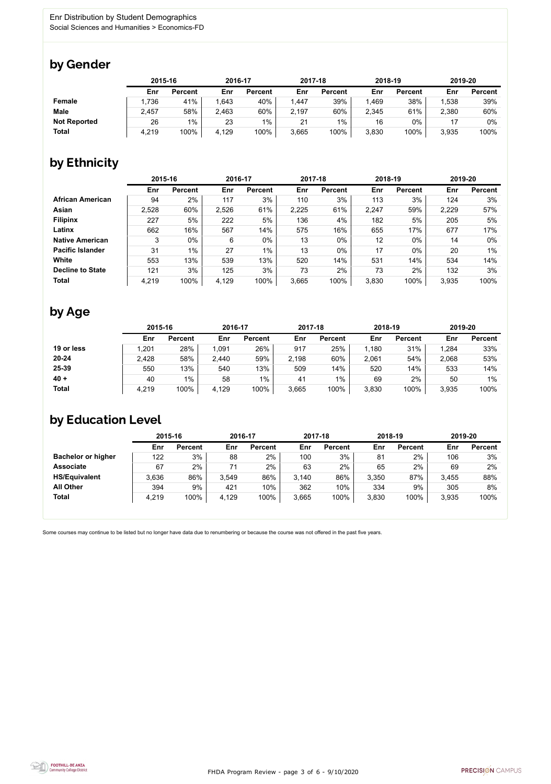

Some courses may continue to be listed but no longer have data due to renumbering or because the course was not offered in the past five years.



## by Gender

|                     | 2015-16 |                |       | 2016-17        |       | 2017-18        |       | 2018-19        | 2019-20 |                |
|---------------------|---------|----------------|-------|----------------|-------|----------------|-------|----------------|---------|----------------|
|                     | Enr     | <b>Percent</b> | Enr   | <b>Percent</b> | Enr   | <b>Percent</b> | Enr   | <b>Percent</b> | Enr     | <b>Percent</b> |
| <b>Female</b>       | 1,736   | 41%            | .643  | 40%            | 1,447 | 39%            | ,469  | 38%            | .538    | 39%            |
| <b>Male</b>         | 2,457   | 58%            | 2,463 | 60%            | 2,197 | 60%            | 2,345 | 61%            | 2,380   | 60%            |
| <b>Not Reported</b> | 26      | $1\%$          | 23    | $1\%$          | 21    | 1%             | 16    | $0\%$          |         | $0\%$          |
| <b>Total</b>        | 4,219   | 100%           | 4,129 | 100%           | 3,665 | 100%           | 3,830 | 100%           | 3,935   | 100%           |

## by Ethnicity

|                         |       | 2015-16        |       | 2016-17        |       | 2017-18        | 2018-19    |                | 2019-20 |                |
|-------------------------|-------|----------------|-------|----------------|-------|----------------|------------|----------------|---------|----------------|
|                         | Enr   | <b>Percent</b> | Enr   | <b>Percent</b> | Enr   | <b>Percent</b> | <b>Enr</b> | <b>Percent</b> | Enr     | <b>Percent</b> |
| <b>African American</b> | 94    | 2%             | 117   | 3%             | 110   | 3%             | 113        | 3%             | 124     | 3%             |
| Asian                   | 2,528 | 60%            | 2,526 | 61%            | 2,225 | 61%            | 2,247      | 59%            | 2,229   | 57%            |
| <b>Filipinx</b>         | 227   | 5%             | 222   | 5%             | 136   | 4%             | 182        | 5%             | 205     | 5%             |
| Latinx                  | 662   | 16%            | 567   | 14%            | 575   | 16%            | 655        | 17%            | 677     | 17%            |
| <b>Native American</b>  | 3     | $0\%$          | 6     | $0\%$          | 13    | $0\%$          | 12         | $0\%$          | 14      | $0\%$          |
| <b>Pacific Islander</b> | 31    | 1%             | 27    | $1\%$          | 13    | $0\%$          | 17         | $0\%$          | 20      | $1\%$          |
| White                   | 553   | 13%            | 539   | 13%            | 520   | 14%            | 531        | 14%            | 534     | 14%            |
| <b>Decline to State</b> | 121   | 3%             | 125   | 3%             | 73    | 2%             | 73         | 2%             | 132     | 3%             |
| <b>Total</b>            | 4,219 | 100%           | 4,129 | 100%           | 3,665 | 100%           | 3,830      | 100%           | 3.935   | 100%           |

## by Age

|              |       | 2015-16        |       | 2016-17        |       | 2017-18        | 2018-19 |                | 2019-20 |                |
|--------------|-------|----------------|-------|----------------|-------|----------------|---------|----------------|---------|----------------|
|              | Enr   | <b>Percent</b> | Enr   | <b>Percent</b> | Enr   | <b>Percent</b> | Enr     | <b>Percent</b> | Enr     | <b>Percent</b> |
| 19 or less   | .201  | 28%            | 1.091 | 26%            | 917   | 25%            | 1,180   | 31%            | 1,284   | 33%            |
| $20 - 24$    | 2,428 | 58%            | 2,440 | 59%            | 2,198 | 60%            | 2,061   | 54%            | 2,068   | 53%            |
| 25-39        | 550   | 13%            | 540   | 13%            | 509   | 14%            | 520     | 14%            | 533     | 14%            |
| $40 +$       | 40    | $1\%$          | 58    | $1\%$          | 41    | $1\%$          | 69      | 2%             | 50      | $1\%$          |
| <b>Total</b> | 4,219 | 100%           | 4,129 | 100%           | 3,665 | 100%           | 3,830   | 100%           | 3,935   | 100%           |

## by Education Level

|                           | 2015-16 |                |       | 2016-17        |       | 2017-18        | 2018-19 |                | 2019-20 |                |
|---------------------------|---------|----------------|-------|----------------|-------|----------------|---------|----------------|---------|----------------|
|                           | Enr     | <b>Percent</b> | Enr   | <b>Percent</b> | Enr   | <b>Percent</b> | Enr     | <b>Percent</b> | Enr     | <b>Percent</b> |
| <b>Bachelor or higher</b> | 122     | 3%             | 88    | 2%             | 100   | 3%             | 81      | 2%             | 106     | 3%             |
| <b>Associate</b>          | 67      | 2%             | 71    | $2\%$          | 63    | 2%             | 65      | 2%             | 69      | 2%             |
| <b>HS/Equivalent</b>      | 3,636   | 86%            | 3,549 | 86%            | 3,140 | 86%            | 3,350   | 87%            | 3,455   | 88%            |
| <b>All Other</b>          | 394     | 9%             | 421   | 10%            | 362   | 10%            | 334     | 9%             | 305     | 8%             |
| <b>Total</b>              | 4,219   | 100%           | 4,129 | 100%           | 3,665 | 100%           | 3,830   | 100%           | 3,935   | 100%           |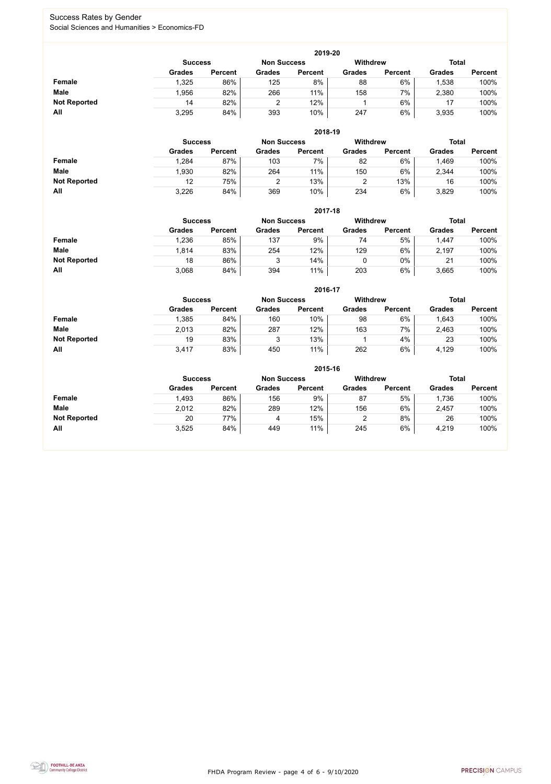FHDA Program Review - page 4 of 6 - 9/10/2020



#### Success Rates by Gender Social Sciences and Humanities > Economics-FD

|                     | 2019-20       |                                                                         |               |                |               |                |               |                |  |  |  |  |  |
|---------------------|---------------|-------------------------------------------------------------------------|---------------|----------------|---------------|----------------|---------------|----------------|--|--|--|--|--|
|                     |               | <b>Withdrew</b><br><b>Total</b><br><b>Non Success</b><br><b>Success</b> |               |                |               |                |               |                |  |  |  |  |  |
|                     | <b>Grades</b> | <b>Percent</b>                                                          | <b>Grades</b> | <b>Percent</b> | <b>Grades</b> | <b>Percent</b> | <b>Grades</b> | <b>Percent</b> |  |  |  |  |  |
| Female              | 1,325         | 86%                                                                     | 125           | 8%             | 88            | 6%             | ,538          | 100%           |  |  |  |  |  |
| <b>Male</b>         | 1,956         | 82%                                                                     | 266           | 11%            | 158           | 7%             | 2,380         | 100%           |  |  |  |  |  |
| <b>Not Reported</b> | 14            | 82%                                                                     |               | 12%            |               | 6%             | 17            | 100%           |  |  |  |  |  |
| All                 | 3,295         | 84%                                                                     | 393           | 10%            | 247           | 6%             | 3,935         | 100%           |  |  |  |  |  |

|                     |                | 2018-19        |                    |                |                 |                |               |                |  |  |  |  |  |  |
|---------------------|----------------|----------------|--------------------|----------------|-----------------|----------------|---------------|----------------|--|--|--|--|--|--|
|                     | <b>Success</b> |                | <b>Non Success</b> |                | <b>Withdrew</b> |                | <b>Total</b>  |                |  |  |  |  |  |  |
|                     | <b>Grades</b>  | <b>Percent</b> | <b>Grades</b>      | <b>Percent</b> | <b>Grades</b>   | <b>Percent</b> | <b>Grades</b> | <b>Percent</b> |  |  |  |  |  |  |
| <b>Female</b>       | .284           | 87%            | 103                | 7%             | 82              | 6%             | 1,469         | 100%           |  |  |  |  |  |  |
| <b>Male</b>         | 1,930          | 82%            | 264                | 11%            | 150             | 6%             | 2,344         | 100%           |  |  |  |  |  |  |
| <b>Not Reported</b> | 12             | 75%            |                    | 13%            |                 | 13%            | 16            | 100%           |  |  |  |  |  |  |
| All                 | 3,226          | 84%            | 369                | 10%            | 234             | 6%             | 3,829         | 100%           |  |  |  |  |  |  |

|                     |                | 2017-18        |                    |                |                 |                |               |                |  |  |  |  |  |  |
|---------------------|----------------|----------------|--------------------|----------------|-----------------|----------------|---------------|----------------|--|--|--|--|--|--|
|                     | <b>Success</b> |                | <b>Non Success</b> |                | <b>Withdrew</b> |                | <b>Total</b>  |                |  |  |  |  |  |  |
|                     | <b>Grades</b>  | <b>Percent</b> | <b>Grades</b>      | <b>Percent</b> | <b>Grades</b>   | <b>Percent</b> | <b>Grades</b> | <b>Percent</b> |  |  |  |  |  |  |
| Female              | .236           | 85%            | 137                | 9%             | 74              | 5%             | 1,447         | 100%           |  |  |  |  |  |  |
| <b>Male</b>         | 1,814          | 83%            | 254                | 12%            | 129             | 6%             | 2,197         | 100%           |  |  |  |  |  |  |
| <b>Not Reported</b> | 18             | 86%            | 3                  | 14%            | 0               | 0%             | 21            | 100%           |  |  |  |  |  |  |
| <b>All</b>          | 3,068          | 84%            | 394                | 11%            | 203             | 6%             | 3,665         | 100%           |  |  |  |  |  |  |

|                     |                | 2016-17        |                    |                |                 |                |               |                |  |  |
|---------------------|----------------|----------------|--------------------|----------------|-----------------|----------------|---------------|----------------|--|--|
|                     | <b>Success</b> |                | <b>Non Success</b> |                | <b>Withdrew</b> |                | <b>Total</b>  |                |  |  |
|                     | <b>Grades</b>  | <b>Percent</b> | <b>Grades</b>      | <b>Percent</b> | <b>Grades</b>   | <b>Percent</b> | <b>Grades</b> | <b>Percent</b> |  |  |
| <b>Female</b>       | 1,385          | 84%            | 160                | 10%            | 98              | 6%             | 1,643         | 100%           |  |  |
| <b>Male</b>         | 2,013          | 82%            | 287                | 12%            | 163             | 7%             | 2,463         | 100%           |  |  |
| <b>Not Reported</b> | 19             | 83%            | J                  | 13%            |                 | 4%             | 23            | 100%           |  |  |
| All                 | 3,417          | 83%            | 450                | 11%            | 262             | 6%             | 4,129         | 100%           |  |  |

|                     | 2015-16        |                |                    |                |               |                |               |                |  |
|---------------------|----------------|----------------|--------------------|----------------|---------------|----------------|---------------|----------------|--|
|                     | <b>Success</b> |                | <b>Non Success</b> |                | Withdrew      |                |               | <b>Total</b>   |  |
|                     | <b>Grades</b>  | <b>Percent</b> | <b>Grades</b>      | <b>Percent</b> | <b>Grades</b> | <b>Percent</b> | <b>Grades</b> | <b>Percent</b> |  |
| Female              | 1,493          | 86%            | 156                | 9%             | 87            | 5%             | 1,736         | 100%           |  |
| <b>Male</b>         | 2,012          | 82%            | 289                | 12%            | 156           | 6%             | 2,457         | 100%           |  |
| <b>Not Reported</b> | 20             | 77%            | 4                  | 15%            | າ<br>∠        | 8%             | 26            | 100%           |  |
| All                 | 3,525          | 84%            | 449                | 11%            | 245           | 6%             | 4,219         | 100%           |  |

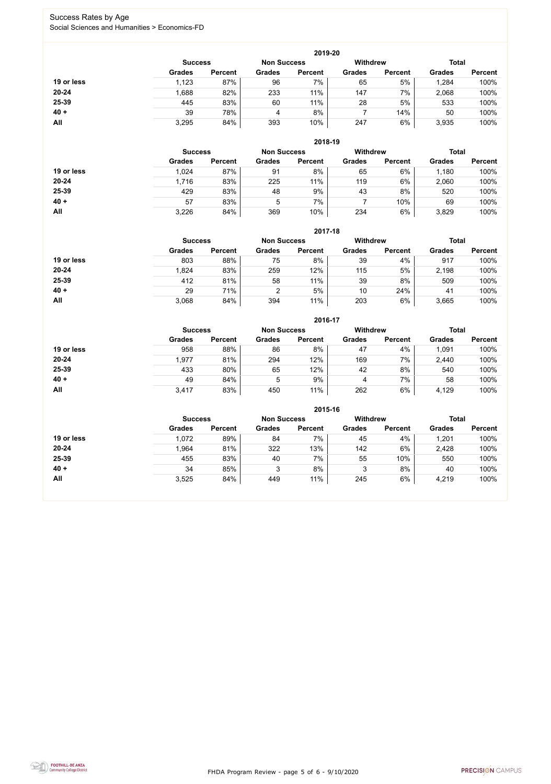FHDA Program Review - page 5 of 6 - 9/10/2020



#### Success Rates by Age Social Sciences and Humanities > Economics-FD

|            |                |                    |               | 2019-20         |               |                |               |                |
|------------|----------------|--------------------|---------------|-----------------|---------------|----------------|---------------|----------------|
|            | <b>Success</b> | <b>Non Success</b> |               | <b>Withdrew</b> |               |                | <b>Total</b>  |                |
|            | <b>Grades</b>  | <b>Percent</b>     | <b>Grades</b> | <b>Percent</b>  | <b>Grades</b> | <b>Percent</b> | <b>Grades</b> | <b>Percent</b> |
| 19 or less | 1,123          | 87%                | 96            | 7%              | 65            | 5%             | 1,284         | 100%           |
| $20 - 24$  | 1,688          | 82%                | 233           | 11%             | 147           | 7%             | 2,068         | 100%           |
| 25-39      | 445            | 83%                | 60            | 11%             | 28            | 5%             | 533           | 100%           |
| $40 +$     | 39             | 78%                | 4             | 8%              |               | 14%            | 50            | 100%           |
| All        | 3,295          | 84%                | 393           | 10%             | 247           | 6%             | 3,935         | 100%           |

|            | 2018-19        |                    |               |                 |               |                |               |                |  |  |
|------------|----------------|--------------------|---------------|-----------------|---------------|----------------|---------------|----------------|--|--|
|            | <b>Success</b> | <b>Non Success</b> |               | <b>Withdrew</b> |               | <b>Total</b>   |               |                |  |  |
|            | <b>Grades</b>  | <b>Percent</b>     | <b>Grades</b> | <b>Percent</b>  | <b>Grades</b> | <b>Percent</b> | <b>Grades</b> | <b>Percent</b> |  |  |
| 19 or less | 1,024          | 87%                | 91            | 8%              | 65            | 6%             | 1,180         | 100%           |  |  |
| $20 - 24$  | 1,716          | 83%                | 225           | 11%             | 119           | 6%             | 2,060         | 100%           |  |  |
| 25-39      | 429            | 83%                | 48            | 9%              | 43            | 8%             | 520           | 100%           |  |  |
| $40 +$     | 57             | 83%                | 5             | 7%              |               | 10%            | 69            | 100%           |  |  |
| All        | 3,226          | 84%                | 369           | 10%             | 234           | 6%             | 3,829         | 100%           |  |  |

|            | 2017-18        |                    |                |                 |               |                |               |                |  |
|------------|----------------|--------------------|----------------|-----------------|---------------|----------------|---------------|----------------|--|
|            | <b>Success</b> | <b>Non Success</b> |                | <b>Withdrew</b> |               | <b>Total</b>   |               |                |  |
|            | <b>Grades</b>  | <b>Percent</b>     | <b>Grades</b>  | <b>Percent</b>  | <b>Grades</b> | <b>Percent</b> | <b>Grades</b> | <b>Percent</b> |  |
| 19 or less | 803            | 88%                | 75             | 8%              | 39            | 4%             | 917           | 100%           |  |
| $20 - 24$  | .824           | 83%                | 259            | 12%             | 115           | 5%             | 2,198         | 100%           |  |
| 25-39      | 412            | 81%                | 58             | 11%             | 39            | 8%             | 509           | 100%           |  |
| $40 +$     | 29             | 71%                | $\overline{2}$ | 5%              | 10            | 24%            | 41            | 100%           |  |
| All        | 3,068          | 84%                | 394            | 11%             | 203           | 6%             | 3,665         | 100%           |  |

|            |                |                    |               | 2016-17         |               |                |               |                |
|------------|----------------|--------------------|---------------|-----------------|---------------|----------------|---------------|----------------|
|            | <b>Success</b> | <b>Non Success</b> |               | <b>Withdrew</b> |               | <b>Total</b>   |               |                |
|            | <b>Grades</b>  | <b>Percent</b>     | <b>Grades</b> | <b>Percent</b>  | <b>Grades</b> | <b>Percent</b> | <b>Grades</b> | <b>Percent</b> |
| 19 or less | 958            | 88%                | 86            | 8%              | 47            | 4%             | 1,091         | 100%           |
| $20 - 24$  | 1,977          | 81%                | 294           | 12%             | 169           | 7%             | 2,440         | 100%           |
| 25-39      | 433            | 80%                | 65            | 12%             | 42            | 8%             | 540           | 100%           |
| $40 +$     | 49             | 84%                | 5             | 9%              | 4             | 7%             | 58            | 100%           |
| <b>All</b> | 3,417          | 83%                | 450           | 11%             | 262           | 6%             | 4,129         | 100%           |

|            | 2015-16        |                |               |                    |                 |                |               |                |  |  |
|------------|----------------|----------------|---------------|--------------------|-----------------|----------------|---------------|----------------|--|--|
|            | <b>Success</b> |                |               | <b>Non Success</b> | <b>Withdrew</b> |                | <b>Total</b>  |                |  |  |
|            | <b>Grades</b>  | <b>Percent</b> | <b>Grades</b> | <b>Percent</b>     | <b>Grades</b>   | <b>Percent</b> | <b>Grades</b> | <b>Percent</b> |  |  |
| 19 or less | 1,072          | 89%            | 84            | 7%                 | 45              | 4%             | 1,201         | 100%           |  |  |
| $20 - 24$  | 1,964          | 81%            | 322           | 13%                | 142             | 6%             | 2,428         | 100%           |  |  |
| 25-39      | 455            | 83%            | 40            | 7%                 | 55              | 10%            | 550           | 100%           |  |  |
| $40 +$     | 34             | 85%            | 3             | 8%                 | 3               | 8%             | 40            | 100%           |  |  |
| All        | 3,525          | 84%            | 449           | 11%                | 245             | 6%             | 4,219         | 100%           |  |  |